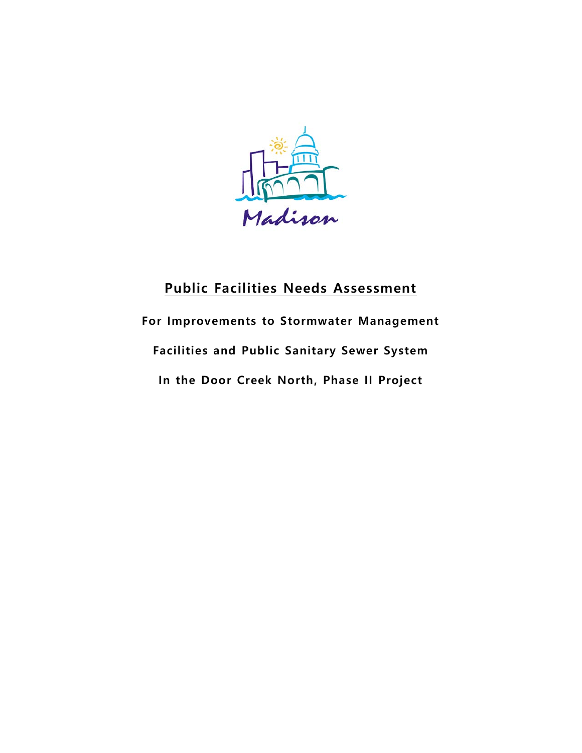

# **Public Facilities Needs Assessment**

# **For Improvements to Stormwater Management Facilities and Public Sanitary Sewer System In the Door Creek North, Phase II Project**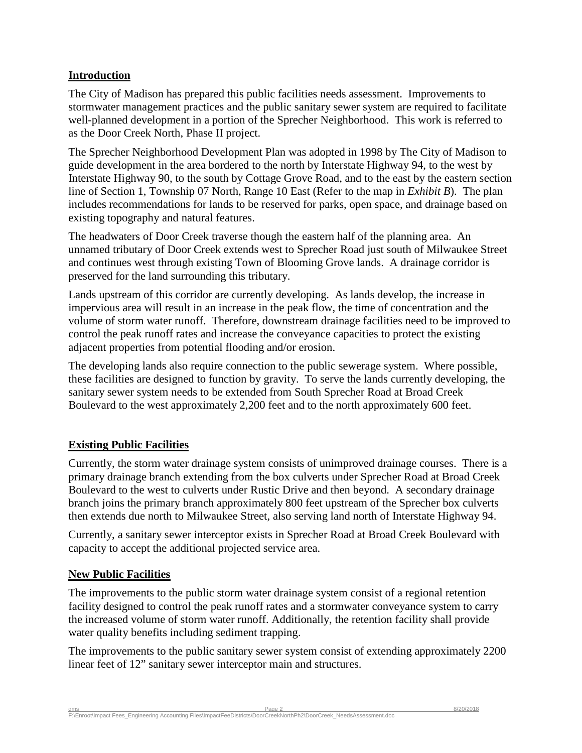### **Introduction**

The City of Madison has prepared this public facilities needs assessment. Improvements to stormwater management practices and the public sanitary sewer system are required to facilitate well-planned development in a portion of the Sprecher Neighborhood. This work is referred to as the Door Creek North, Phase II project.

The Sprecher Neighborhood Development Plan was adopted in 1998 by The City of Madison to guide development in the area bordered to the north by Interstate Highway 94, to the west by Interstate Highway 90, to the south by Cottage Grove Road, and to the east by the eastern section line of Section 1, Township 07 North, Range 10 East (Refer to the map in *Exhibit B*). The plan includes recommendations for lands to be reserved for parks, open space, and drainage based on existing topography and natural features.

The headwaters of Door Creek traverse though the eastern half of the planning area. An unnamed tributary of Door Creek extends west to Sprecher Road just south of Milwaukee Street and continues west through existing Town of Blooming Grove lands. A drainage corridor is preserved for the land surrounding this tributary.

Lands upstream of this corridor are currently developing. As lands develop, the increase in impervious area will result in an increase in the peak flow, the time of concentration and the volume of storm water runoff. Therefore, downstream drainage facilities need to be improved to control the peak runoff rates and increase the conveyance capacities to protect the existing adjacent properties from potential flooding and/or erosion.

The developing lands also require connection to the public sewerage system. Where possible, these facilities are designed to function by gravity. To serve the lands currently developing, the sanitary sewer system needs to be extended from South Sprecher Road at Broad Creek Boulevard to the west approximately 2,200 feet and to the north approximately 600 feet.

# **Existing Public Facilities**

Currently, the storm water drainage system consists of unimproved drainage courses. There is a primary drainage branch extending from the box culverts under Sprecher Road at Broad Creek Boulevard to the west to culverts under Rustic Drive and then beyond. A secondary drainage branch joins the primary branch approximately 800 feet upstream of the Sprecher box culverts then extends due north to Milwaukee Street, also serving land north of Interstate Highway 94.

Currently, a sanitary sewer interceptor exists in Sprecher Road at Broad Creek Boulevard with capacity to accept the additional projected service area.

#### **New Public Facilities**

The improvements to the public storm water drainage system consist of a regional retention facility designed to control the peak runoff rates and a stormwater conveyance system to carry the increased volume of storm water runoff. Additionally, the retention facility shall provide water quality benefits including sediment trapping.

The improvements to the public sanitary sewer system consist of extending approximately 2200 linear feet of 12" sanitary sewer interceptor main and structures.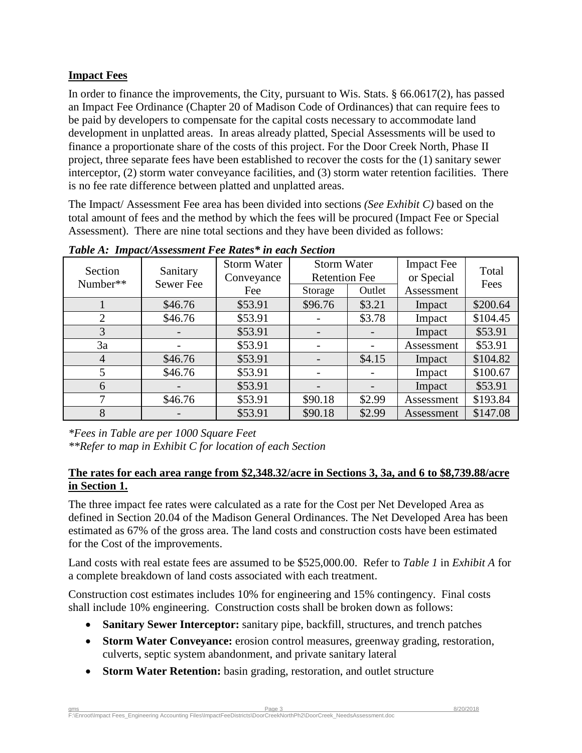# **Impact Fees**

In order to finance the improvements, the City, pursuant to Wis. Stats. § 66.0617(2), has passed an Impact Fee Ordinance (Chapter 20 of Madison Code of Ordinances) that can require fees to be paid by developers to compensate for the capital costs necessary to accommodate land development in unplatted areas. In areas already platted, Special Assessments will be used to finance a proportionate share of the costs of this project. For the Door Creek North, Phase II project, three separate fees have been established to recover the costs for the (1) sanitary sewer interceptor, (2) storm water conveyance facilities, and (3) storm water retention facilities. There is no fee rate difference between platted and unplatted areas.

The Impact/ Assessment Fee area has been divided into sections *(See Exhibit C)* based on the total amount of fees and the method by which the fees will be procured (Impact Fee or Special Assessment). There are nine total sections and they have been divided as follows:

| Section<br>Number** | Sanitary<br>Sewer Fee | <b>Storm Water</b><br>Conveyance<br>Fee | <b>Storm Water</b><br><b>Retention Fee</b><br>Outlet<br>Storage |        | <b>Impact Fee</b><br>or Special<br>Assessment | Total<br>Fees |
|---------------------|-----------------------|-----------------------------------------|-----------------------------------------------------------------|--------|-----------------------------------------------|---------------|
|                     | \$46.76               | \$53.91                                 | \$96.76                                                         | \$3.21 | Impact                                        | \$200.64      |
| $\overline{2}$      | \$46.76               | \$53.91                                 |                                                                 | \$3.78 | Impact                                        | \$104.45      |
| 3                   |                       | \$53.91                                 |                                                                 |        | Impact                                        | \$53.91       |
| 3a                  |                       | \$53.91                                 |                                                                 |        | Assessment                                    | \$53.91       |
| 4                   | \$46.76               | \$53.91                                 |                                                                 | \$4.15 | Impact                                        | \$104.82      |
| 5                   | \$46.76               | \$53.91                                 |                                                                 |        | Impact                                        | \$100.67      |
| 6                   |                       | \$53.91                                 |                                                                 |        | Impact                                        | \$53.91       |
| 7                   | \$46.76               | \$53.91                                 | \$90.18                                                         | \$2.99 | Assessment                                    | \$193.84      |
| 8                   |                       | \$53.91                                 | \$90.18                                                         | \$2.99 | Assessment                                    | \$147.08      |

*Table A: Impact/Assessment Fee Rates\* in each Section*

*\*Fees in Table are per 1000 Square Feet \*\*Refer to map in Exhibit C for location of each Section*

#### **The rates for each area range from \$2,348.32/acre in Sections 3, 3a, and 6 to \$8,739.88/acre in Section 1.**

The three impact fee rates were calculated as a rate for the Cost per Net Developed Area as defined in Section 20.04 of the Madison General Ordinances. The Net Developed Area has been estimated as 67% of the gross area. The land costs and construction costs have been estimated for the Cost of the improvements.

Land costs with real estate fees are assumed to be \$525,000.00. Refer to *Table 1* in *Exhibit A* for a complete breakdown of land costs associated with each treatment.

Construction cost estimates includes 10% for engineering and 15% contingency. Final costs shall include 10% engineering. Construction costs shall be broken down as follows:

- **Sanitary Sewer Interceptor:** sanitary pipe, backfill, structures, and trench patches
- **Storm Water Conveyance:** erosion control measures, greenway grading, restoration, culverts, septic system abandonment, and private sanitary lateral
- **Storm Water Retention:** basin grading, restoration, and outlet structure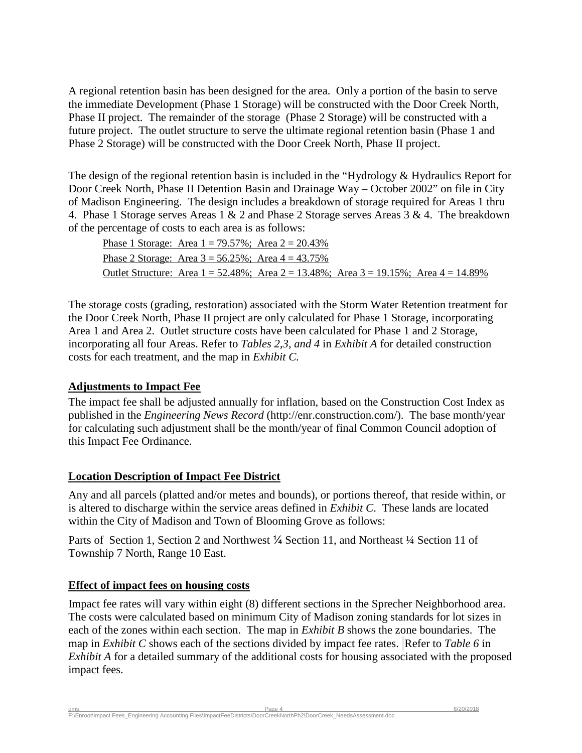A regional retention basin has been designed for the area. Only a portion of the basin to serve the immediate Development (Phase 1 Storage) will be constructed with the Door Creek North, Phase II project. The remainder of the storage (Phase 2 Storage) will be constructed with a future project. The outlet structure to serve the ultimate regional retention basin (Phase 1 and Phase 2 Storage) will be constructed with the Door Creek North, Phase II project.

The design of the regional retention basin is included in the "Hydrology & Hydraulics Report for Door Creek North, Phase II Detention Basin and Drainage Way – October 2002" on file in City of Madison Engineering. The design includes a breakdown of storage required for Areas 1 thru 4. Phase 1 Storage serves Areas 1 & 2 and Phase 2 Storage serves Areas 3 & 4. The breakdown of the percentage of costs to each area is as follows:

| Phase 1 Storage: Area $1 = 79.57\%$ ; Area $2 = 20.43\%$                                            |  |  |
|-----------------------------------------------------------------------------------------------------|--|--|
| Phase 2 Storage: Area $3 = 56.25\%$ ; Area $4 = 43.75\%$                                            |  |  |
| Outlet Structure: Area $1 = 52.48\%$ ; Area $2 = 13.48\%$ ; Area $3 = 19.15\%$ ; Area $4 = 14.89\%$ |  |  |

The storage costs (grading, restoration) associated with the Storm Water Retention treatment for the Door Creek North, Phase II project are only calculated for Phase 1 Storage, incorporating Area 1 and Area 2. Outlet structure costs have been calculated for Phase 1 and 2 Storage, incorporating all four Areas. Refer to *Tables 2,3, and 4* in *Exhibit A* for detailed construction costs for each treatment, and the map in *Exhibit C.*

#### **Adjustments to Impact Fee**

The impact fee shall be adjusted annually for inflation, based on the Construction Cost Index as published in the *Engineering News Record* (http://enr.construction.com/). The base month/year for calculating such adjustment shall be the month/year of final Common Council adoption of this Impact Fee Ordinance.

#### **Location Description of Impact Fee District**

Any and all parcels (platted and/or metes and bounds), or portions thereof, that reside within, or is altered to discharge within the service areas defined in *Exhibit C*. These lands are located within the City of Madison and Town of Blooming Grove as follows:

Parts of Section 1, Section 2 and Northwest ¼ Section 11, and Northeast ¼ Section 11 of Township 7 North, Range 10 East.

# **Effect of impact fees on housing costs**

Impact fee rates will vary within eight (8) different sections in the Sprecher Neighborhood area. The costs were calculated based on minimum City of Madison zoning standards for lot sizes in each of the zones within each section. The map in *Exhibit B* shows the zone boundaries. The map in *Exhibit C* shows each of the sections divided by impact fee rates. Refer to *Table 6* in *Exhibit A* for a detailed summary of the additional costs for housing associated with the proposed impact fees.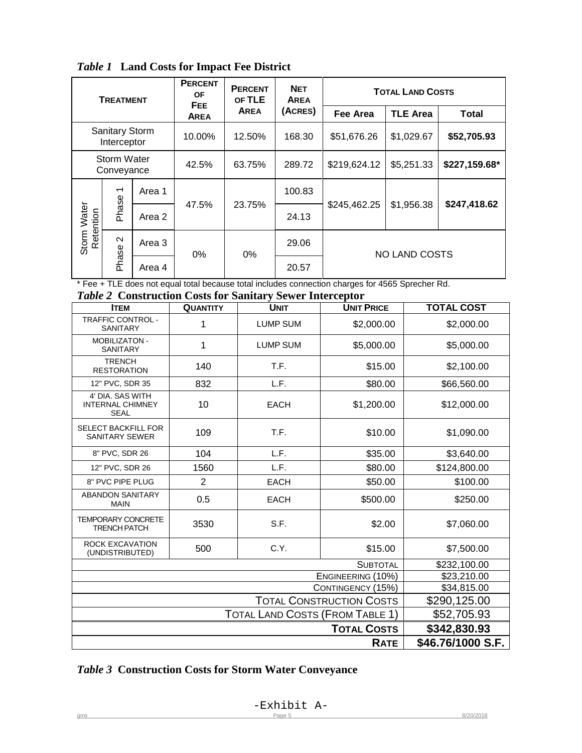*Table 1* **Land Costs for Impact Fee District**

| <b>TREATMENT</b>                                                     |                   |             | <b>PERCENT</b><br>0F<br>FEE. | <b>PERCENT</b><br>OF TLE | <b>NET</b><br><b>AREA</b> |                 | <b>TOTAL LAND COSTS</b> |  |
|----------------------------------------------------------------------|-------------------|-------------|------------------------------|--------------------------|---------------------------|-----------------|-------------------------|--|
|                                                                      |                   | <b>AREA</b> | <b>AREA</b>                  | (ACRES)                  | Fee Area                  | <b>TLE Area</b> | <b>Total</b>            |  |
| <b>Sanitary Storm</b><br>Interceptor                                 |                   | 10.00%      | 12.50%                       | 168.30                   | \$51,676.26               | \$1,029.67      | \$52,705.93             |  |
| Storm Water<br>Conveyance                                            |                   | 42.5%       | 63.75%                       | 289.72                   | \$219,624.12              | \$5,251.33      | \$227,159.68*           |  |
| $\overline{\phantom{0}}$<br>Phase<br><b>Storm Water</b><br>Retention | Area 1            |             | 23.75%                       | 100.83                   |                           |                 |                         |  |
|                                                                      | Area 2            | 47.5%       |                              | 24.13                    | \$245,462.25              | \$1,956.38      | \$247,418.62            |  |
|                                                                      | $\mathbf{\Omega}$ | Area 3      | $0\%$                        | $0\%$                    | 29.06                     |                 | NO LAND COSTS           |  |
| Phase                                                                |                   | Area 4      |                              |                          | 20.57                     |                 |                         |  |

\* Fee + TLE does not equal total because total includes connection charges for 4565 Sprecher Rd.

*Table 2* **Construction Costs for Sanitary Sewer Interceptor**

| <b>ITEM</b>                                                | <b>QUANTITY</b>                        | <b>UNIT</b>     | <b>UNIT PRICE</b> | <b>TOTAL COST</b> |
|------------------------------------------------------------|----------------------------------------|-----------------|-------------------|-------------------|
| <b>TRAFFIC CONTROL -</b><br><b>SANITARY</b>                | 1                                      | <b>LUMP SUM</b> | \$2,000.00        | \$2,000.00        |
| MOBILIZATON -<br><b>SANITARY</b>                           | 1                                      | <b>LUMP SUM</b> | \$5,000.00        | \$5,000.00        |
| <b>TRENCH</b><br><b>RESTORATION</b>                        | 140                                    | T.F.            | \$15.00           | \$2,100.00        |
| 12" PVC, SDR 35                                            | 832                                    | L.F.            | \$80.00           | \$66,560.00       |
| 4' DIA. SAS WITH<br><b>INTERNAL CHIMNEY</b><br><b>SEAL</b> | 10                                     | <b>EACH</b>     | \$1,200.00        | \$12,000.00       |
| <b>SELECT BACKFILL FOR</b><br><b>SANITARY SEWER</b>        | 109                                    | T.F.            | \$10.00           | \$1,090.00        |
| 8" PVC, SDR 26                                             | 104                                    | L.F.            | \$35.00           | \$3,640.00        |
| 12" PVC, SDR 26                                            | 1560                                   | L.F.            | \$80.00           | \$124,800.00      |
| 8" PVC PIPE PLUG                                           | $\overline{2}$                         | <b>EACH</b>     | \$50.00           | \$100.00          |
| <b>ABANDON SANITARY</b><br><b>MAIN</b>                     | 0.5                                    | <b>EACH</b>     | \$500.00          | \$250.00          |
| <b>TEMPORARY CONCRETE</b><br><b>TRENCH PATCH</b>           | 3530                                   | S.F.            | \$2.00            | \$7,060.00        |
| <b>ROCK EXCAVATION</b><br>(UNDISTRIBUTED)                  | 500                                    | C.Y.            | \$15.00           | \$7,500.00        |
|                                                            |                                        |                 | <b>SUBTOTAL</b>   | \$232,100.00      |
|                                                            | ENGINEERING (10%)<br>CONTINGENCY (15%) | \$23,210.00     |                   |                   |
|                                                            | \$34,815.00                            |                 |                   |                   |
|                                                            | \$290,125.00                           |                 |                   |                   |
|                                                            | \$52,705.93                            |                 |                   |                   |
|                                                            | \$342,830.93                           |                 |                   |                   |
|                                                            |                                        |                 | <b>RATE</b>       | \$46.76/1000 S.F. |

# *Table 3* **Construction Costs for Storm Water Conveyance**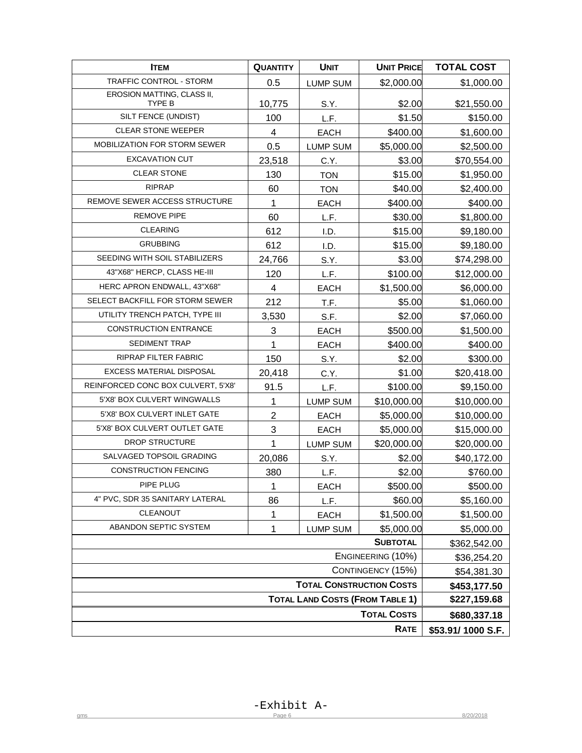| <b>ITEM</b>                          | <b>QUANTITY</b>                        | <b>UNIT</b>     | <b>UNIT PRICE</b> | <b>TOTAL COST</b> |
|--------------------------------------|----------------------------------------|-----------------|-------------------|-------------------|
| TRAFFIC CONTROL - STORM              | 0.5                                    | <b>LUMP SUM</b> | \$2,000.00        | \$1,000.00        |
| EROSION MATTING, CLASS II,<br>TYPE B | 10,775                                 | S.Y.            | \$2.00            | \$21,550.00       |
| SILT FENCE (UNDIST)                  | 100                                    | L.F.            | \$1.50            | \$150.00          |
| <b>CLEAR STONE WEEPER</b>            | 4                                      | <b>EACH</b>     | \$400.00          | \$1,600.00        |
| MOBILIZATION FOR STORM SEWER         | 0.5                                    | <b>LUMP SUM</b> | \$5,000.00        | \$2,500.00        |
| <b>EXCAVATION CUT</b>                | 23,518                                 | C.Y.            | \$3.00            | \$70,554.00       |
| <b>CLEAR STONE</b>                   | 130                                    | <b>TON</b>      | \$15.00           | \$1,950.00        |
| <b>RIPRAP</b>                        | 60                                     | <b>TON</b>      | \$40.00           | \$2,400.00        |
| REMOVE SEWER ACCESS STRUCTURE        | 1                                      | <b>EACH</b>     | \$400.00          | \$400.00          |
| <b>REMOVE PIPE</b>                   | 60                                     | L.F.            | \$30.00           | \$1,800.00        |
| <b>CLEARING</b>                      | 612                                    | I.D.            | \$15.00           | \$9,180.00        |
| <b>GRUBBING</b>                      | 612                                    | I.D.            | \$15.00           | \$9,180.00        |
| SEEDING WITH SOIL STABILIZERS        | 24,766                                 | S.Y.            | \$3.00            | \$74,298.00       |
| 43"X68" HERCP, CLASS HE-III          | 120                                    | L.F.            | \$100.00          | \$12,000.00       |
| HERC APRON ENDWALL, 43"X68"          | 4                                      | <b>EACH</b>     | \$1,500.00        | \$6,000.00        |
| SELECT BACKFILL FOR STORM SEWER      | 212                                    | T.F.            | \$5.00            | \$1,060.00        |
| UTILITY TRENCH PATCH, TYPE III       | 3,530                                  | S.F.            | \$2.00            | \$7,060.00        |
| <b>CONSTRUCTION ENTRANCE</b>         | 3                                      | EACH            | \$500.00          | \$1,500.00        |
| <b>SEDIMENT TRAP</b>                 | 1                                      | <b>EACH</b>     | \$400.00          | \$400.00          |
| <b>RIPRAP FILTER FABRIC</b>          | 150                                    | S.Y.            | \$2.00            | \$300.00          |
| EXCESS MATERIAL DISPOSAL             | 20,418                                 | C.Y.            | \$1.00            | \$20,418.00       |
| REINFORCED CONC BOX CULVERT, 5'X8'   | 91.5                                   | L.F.            | \$100.00          | \$9,150.00        |
| 5'X8' BOX CULVERT WINGWALLS          | 1                                      | <b>LUMP SUM</b> | \$10,000.00       | \$10,000.00       |
| 5'X8' BOX CULVERT INLET GATE         | $\overline{2}$                         | EACH            | \$5,000.00        | \$10,000.00       |
| 5'X8' BOX CULVERT OUTLET GATE        | 3                                      | <b>EACH</b>     | \$5,000.00        | \$15,000.00       |
| <b>DROP STRUCTURE</b>                | 1                                      | <b>LUMP SUM</b> | \$20,000.00       | \$20,000.00       |
| SALVAGED TOPSOIL GRADING             | 20,086                                 | S.Y.            | \$2.00            | \$40,172.00       |
| <b>CONSTRUCTION FENCING</b>          | 380                                    | L.F.            | \$2.00            | \$760.00          |
| PIPE PLUG                            | $\mathbf{1}$                           | <b>EACH</b>     | \$500.00          | \$500.00          |
| 4" PVC, SDR 35 SANITARY LATERAL      | 86                                     | L.F.            | \$60.00           | \$5,160.00        |
| CLEANOUT                             | 1                                      | <b>EACH</b>     | \$1,500.00        | \$1,500.00        |
| ABANDON SEPTIC SYSTEM                | 1                                      | <b>LUMP SUM</b> | \$5,000.00        | \$5,000.00        |
|                                      | \$362,542.00                           |                 |                   |                   |
|                                      | \$36,254.20                            |                 |                   |                   |
|                                      | \$54,381.30                            |                 |                   |                   |
|                                      | \$453,177.50                           |                 |                   |                   |
|                                      | <b>TOTAL LAND COSTS (FROM TABLE 1)</b> | \$227,159.68    |                   |                   |
|                                      | \$680,337.18                           |                 |                   |                   |
|                                      |                                        |                 | RATE              | \$53.91/1000 S.F. |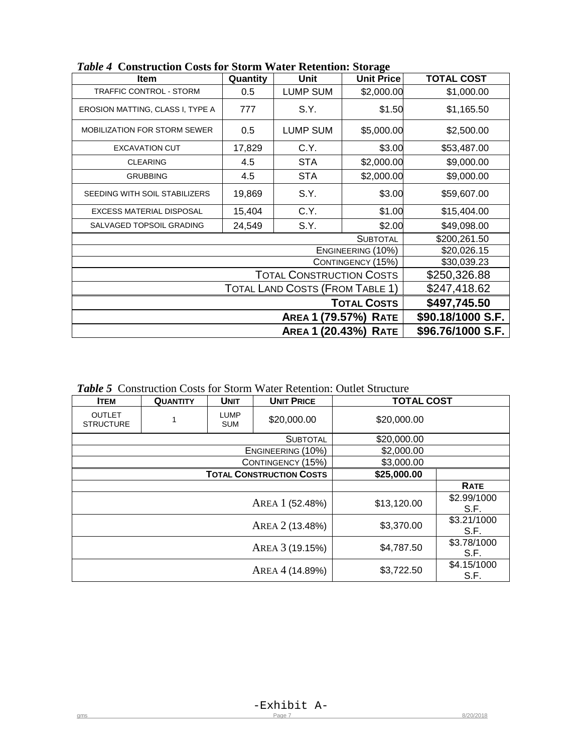| Item                                | Quantity                               | Unit                            | <b>Unit Price</b> | <b>TOTAL COST</b> |
|-------------------------------------|----------------------------------------|---------------------------------|-------------------|-------------------|
| <b>TRAFFIC CONTROL - STORM</b>      | 0.5                                    | <b>LUMP SUM</b>                 | \$2,000.00        | \$1,000.00        |
| EROSION MATTING, CLASS I, TYPE A    | 777                                    | S.Y.                            | \$1.50            | \$1,165.50        |
| <b>MOBILIZATION FOR STORM SEWER</b> | 0.5                                    | <b>LUMP SUM</b>                 | \$5,000.00        | \$2,500.00        |
| <b>EXCAVATION CUT</b>               | 17,829                                 | C.Y.                            | \$3.00            | \$53,487.00       |
| <b>CLEARING</b>                     | 4.5                                    | <b>STA</b>                      | \$2,000.00        | \$9,000.00        |
| <b>GRUBBING</b>                     | 4.5                                    | <b>STA</b>                      | \$2,000.00        | \$9,000.00        |
| SEEDING WITH SOIL STABILIZERS       | 19,869                                 | S.Y.                            | \$3.00            | \$59,607.00       |
| <b>EXCESS MATERIAL DISPOSAL</b>     | 15,404                                 | C.Y.                            | \$1.00            | \$15,404.00       |
| SALVAGED TOPSOIL GRADING            | 24,549                                 | S.Y.                            | \$2.00            | \$49,098.00       |
|                                     |                                        |                                 | <b>SUBTOTAL</b>   | \$200,261.50      |
|                                     |                                        |                                 | ENGINEERING (10%) | \$20,026.15       |
|                                     |                                        |                                 | CONTINGENCY (15%) | \$30,039.23       |
|                                     |                                        | <b>TOTAL CONSTRUCTION COSTS</b> |                   | \$250,326.88      |
|                                     | <b>TOTAL LAND COSTS (FROM TABLE 1)</b> | \$247,418.62                    |                   |                   |
|                                     | <b>TOTAL COSTS</b>                     | \$497,745.50                    |                   |                   |
|                                     | <b>AREA 1 (79.57%) RATE</b>            | \$90.18/1000 S.F.               |                   |                   |
|                                     |                                        | <b>AREA 1 (20.43%) RATE</b>     |                   | \$96.76/1000 S.F. |

*Table 4* **Construction Costs for Storm Water Retention: Storage**

*Table 5* Construction Costs for Storm Water Retention: Outlet Structure

| <b>ITEM</b>                       | <b>QUANTITY</b>                          | <b>UNIT</b> | <b>UNIT PRICE</b>   | <b>TOTAL COST</b> |  |
|-----------------------------------|------------------------------------------|-------------|---------------------|-------------------|--|
| <b>OUTLET</b><br><b>STRUCTURE</b> | <b>LUMP</b><br>\$20,000.00<br><b>SUM</b> |             |                     | \$20,000.00       |  |
|                                   |                                          |             | <b>SUBTOTAL</b>     | \$20,000.00       |  |
|                                   |                                          |             | ENGINEERING (10%)   | \$2,000.00        |  |
|                                   |                                          |             | CONTINGENCY (15%)   | \$3,000.00        |  |
| <b>TOTAL CONSTRUCTION COSTS</b>   |                                          |             |                     | \$25,000.00       |  |
|                                   |                                          |             | <b>RATE</b>         |                   |  |
|                                   |                                          | \$13,120.00 | \$2.99/1000<br>S.F. |                   |  |
|                                   |                                          | \$3,370.00  | \$3.21/1000<br>S.F. |                   |  |
|                                   |                                          | \$4,787.50  | \$3.78/1000<br>S.F. |                   |  |
|                                   |                                          | \$3,722.50  | \$4.15/1000<br>S.F. |                   |  |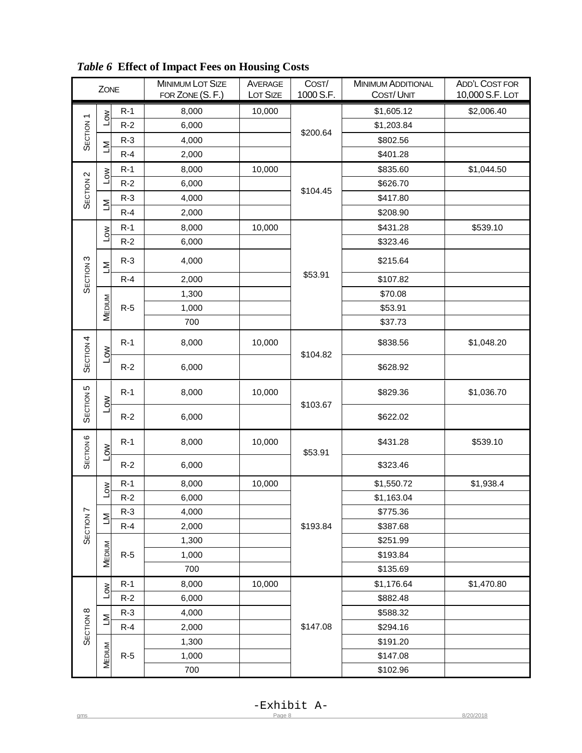|                      | ZONE                    |       | <b>MINIMUM LOT SIZE</b><br>FOR ZONE (S. F.) | AVERAGE<br>LOT SIZE | COST/<br>1000 S.F. | <b>MINIMUM ADDITIONAL</b><br><b>COST/UNIT</b> | ADD'L COST FOR<br>10,000 S.F. LOT |
|----------------------|-------------------------|-------|---------------------------------------------|---------------------|--------------------|-----------------------------------------------|-----------------------------------|
|                      |                         | $R-1$ | 8,000                                       | 10,000              |                    | \$1,605.12                                    | \$2,006.40                        |
| SECTION <sub>1</sub> | Low                     | $R-2$ | 6,000                                       |                     |                    | \$1,203.84                                    |                                   |
|                      |                         | $R-3$ | 4,000                                       |                     | \$200.64           | \$802.56                                      |                                   |
|                      | Σ                       | $R-4$ | 2,000                                       |                     |                    | \$401.28                                      |                                   |
|                      |                         | $R-1$ | 8,000                                       | 10,000              |                    | \$835.60                                      | \$1,044.50                        |
| SECTION <sub>2</sub> | Low                     | $R-2$ | 6,000                                       |                     |                    | \$626.70                                      |                                   |
|                      |                         | $R-3$ | 4,000                                       |                     | \$104.45           | \$417.80                                      |                                   |
|                      | Σ                       | $R-4$ | 2,000                                       |                     |                    | \$208.90                                      |                                   |
|                      |                         | $R-1$ | 8,000                                       | 10,000              |                    | \$431.28                                      | \$539.10                          |
|                      | Low                     | $R-2$ | 6,000                                       |                     |                    | \$323.46                                      |                                   |
| SECTION <sub>3</sub> | $\geq$                  | $R-3$ | 4,000                                       |                     |                    | \$215.64                                      |                                   |
|                      |                         | $R-4$ | 2,000                                       |                     | \$53.91            | \$107.82                                      |                                   |
|                      |                         |       | 1,300                                       |                     |                    | \$70.08                                       |                                   |
|                      | MEDIUM                  | $R-5$ | 1,000                                       |                     |                    | \$53.91                                       |                                   |
|                      |                         |       | 700                                         |                     |                    | \$37.73                                       |                                   |
|                      |                         | $R-1$ | 8,000                                       | 10,000              |                    | \$838.56                                      | \$1,048.20                        |
| SECTION <sub>4</sub> | $\overline{\mathsf{S}}$ | $R-2$ | 6,000                                       |                     | \$104.82           | \$628.92                                      |                                   |
| SECTION <sub>5</sub> | <b>NOT</b>              | $R-1$ | 8,000                                       | 10,000              | \$103.67           | \$829.36                                      | \$1,036.70                        |
|                      |                         | $R-2$ | 6,000                                       |                     |                    | \$622.02                                      |                                   |
| SECTION <sub>6</sub> | $\overline{\mathsf{S}}$ | $R-1$ | 8,000                                       | 10,000              | \$53.91            | \$431.28                                      | \$539.10                          |
|                      |                         | $R-2$ | 6,000                                       |                     |                    | \$323.46                                      |                                   |
|                      | $\sum_{i=1}^{n}$        | $R-1$ | 8,000                                       | 10,000              |                    | \$1,550.72                                    | \$1,938.4                         |
|                      |                         | $R-2$ | 6,000                                       |                     |                    | \$1,163.04                                    |                                   |
|                      | Σ                       | $R-3$ | 4,000                                       |                     |                    | \$775.36                                      |                                   |
| SECTION <sub>7</sub> |                         | $R-4$ | 2,000                                       |                     | \$193.84           | \$387.68                                      |                                   |
|                      |                         |       | 1,300                                       |                     |                    | \$251.99                                      |                                   |
|                      | MEDIUM                  | $R-5$ | 1,000                                       |                     |                    | \$193.84                                      |                                   |
|                      |                         |       | 700                                         |                     |                    | \$135.69                                      |                                   |
|                      | <b>NOT</b>              | $R-1$ | 8,000                                       | 10,000              |                    | \$1,176.64                                    | \$1,470.80                        |
|                      |                         | $R-2$ | 6,000                                       |                     |                    | \$882.48                                      |                                   |
|                      | Σ                       | $R-3$ | 4,000                                       |                     |                    | \$588.32                                      |                                   |
| SECTION <sub>8</sub> |                         | $R-4$ | 2,000                                       |                     | \$147.08           | \$294.16                                      |                                   |
|                      |                         |       | 1,300                                       |                     |                    | \$191.20                                      |                                   |
|                      | MEDIUM                  | $R-5$ | 1,000                                       |                     |                    | \$147.08                                      |                                   |
|                      |                         | 700   |                                             |                     | \$102.96           |                                               |                                   |

*Table 6* **Effect of Impact Fees on Housing Costs**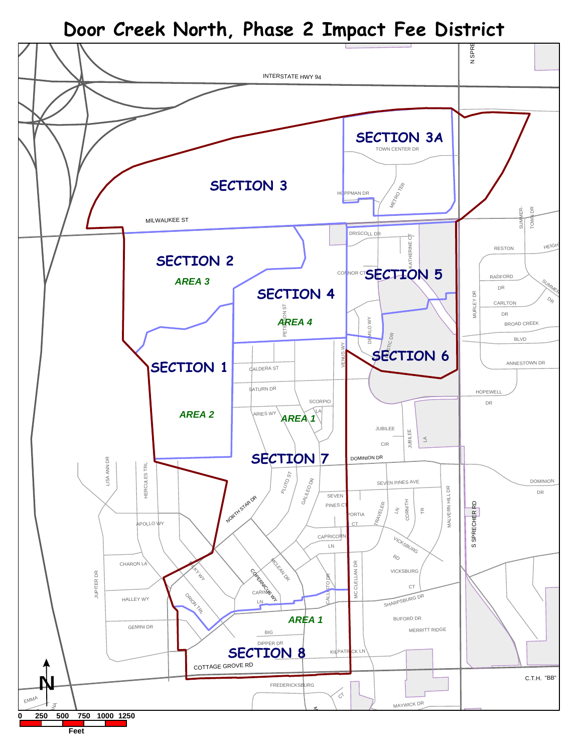**Door Creek North, Phase 2 Impact Fee District**